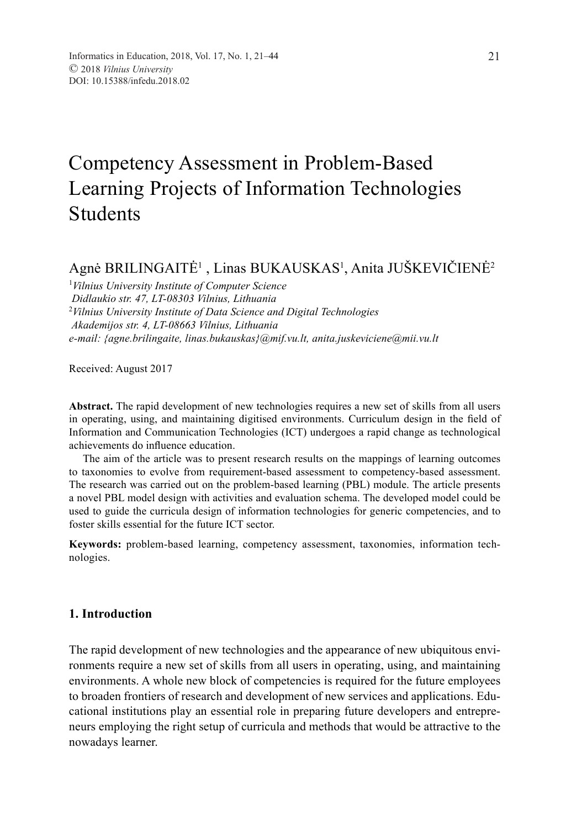# Competency Assessment in Problem-Based Learning Projects of Information Technologies Students

## Agnė BRILINGAITĖ<sup>1</sup> , Linas BUKAUSKAS<sup>1</sup>, Anita JUŠKEVIČIENĖ<sup>2</sup>

1 *Vilnius University Institute of Computer Science Didlaukio str. 47, LT-08303 Vilnius, Lithuania* 2 *Vilnius University Institute of Data Science and Digital Technologies Akademijos str. 4, LT-08663 Vilnius, Lithuania e-mail: {agne.brilingaite, linas.bukauskas}@mif.vu.lt, anita.juskeviciene@mii.vu.lt*

Received: August 2017

**Abstract.** The rapid development of new technologies requires a new set of skills from all users in operating, using, and maintaining digitised environments. Curriculum design in the field of Information and Communication Technologies (ICT) undergoes a rapid change as technological achievements do influence education.

The aim of the article was to present research results on the mappings of learning outcomes to taxonomies to evolve from requirement-based assessment to competency-based assessment. The research was carried out on the problem-based learning (PBL) module. The article presents a novel PBL model design with activities and evaluation schema. The developed model could be used to guide the curricula design of information technologies for generic competencies, and to foster skills essential for the future ICT sector.

**Keywords:** problem-based learning, competency assessment, taxonomies, information technologies.

## **1. Introduction**

The rapid development of new technologies and the appearance of new ubiquitous environments require a new set of skills from all users in operating, using, and maintaining environments. A whole new block of competencies is required for the future employees to broaden frontiers of research and development of new services and applications. Educational institutions play an essential role in preparing future developers and entrepreneurs employing the right setup of curricula and methods that would be attractive to the nowadays learner.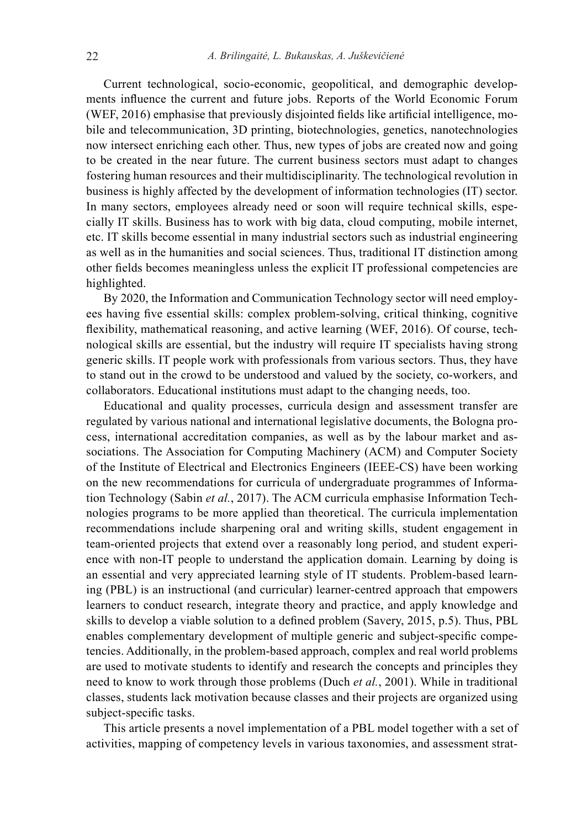Current technological, socio-economic, geopolitical, and demographic developments influence the current and future jobs. Reports of the World Economic Forum (WEF, 2016) emphasise that previously disjointed fields like artificial intelligence, mobile and telecommunication, 3D printing, biotechnologies, genetics, nanotechnologies now intersect enriching each other. Thus, new types of jobs are created now and going to be created in the near future. The current business sectors must adapt to changes fostering human resources and their multidisciplinarity. The technological revolution in business is highly affected by the development of information technologies (IT) sector. In many sectors, employees already need or soon will require technical skills, especially IT skills. Business has to work with big data, cloud computing, mobile internet, etc. IT skills become essential in many industrial sectors such as industrial engineering as well as in the humanities and social sciences. Thus, traditional IT distinction among other fields becomes meaningless unless the explicit IT professional competencies are highlighted.

By 2020, the Information and Communication Technology sector will need employees having five essential skills: complex problem-solving, critical thinking, cognitive flexibility, mathematical reasoning, and active learning (WEF, 2016). Of course, technological skills are essential, but the industry will require IT specialists having strong generic skills. IT people work with professionals from various sectors. Thus, they have to stand out in the crowd to be understood and valued by the society, co-workers, and collaborators. Educational institutions must adapt to the changing needs, too.

Educational and quality processes, curricula design and assessment transfer are regulated by various national and international legislative documents, the Bologna process, international accreditation companies, as well as by the labour market and associations. The Association for Computing Machinery (ACM) and Computer Society of the Institute of Electrical and Electronics Engineers (IEEE-CS) have been working on the new recommendations for curricula of undergraduate programmes of Information Technology (Sabin *et al.*, 2017). The ACM curricula emphasise Information Technologies programs to be more applied than theoretical. The curricula implementation recommendations include sharpening oral and writing skills, student engagement in team-oriented projects that extend over a reasonably long period, and student experience with non-IT people to understand the application domain. Learning by doing is an essential and very appreciated learning style of IT students. Problem-based learning (PBL) is an instructional (and curricular) learner-centred approach that empowers learners to conduct research, integrate theory and practice, and apply knowledge and skills to develop a viable solution to a defined problem (Savery, 2015, p.5). Thus, PBL enables complementary development of multiple generic and subject-specific competencies. Additionally, in the problem-based approach, complex and real world problems are used to motivate students to identify and research the concepts and principles they need to know to work through those problems (Duch *et al.*, 2001). While in traditional classes, students lack motivation because classes and their projects are organized using subject-specific tasks.

This article presents a novel implementation of a PBL model together with a set of activities, mapping of competency levels in various taxonomies, and assessment strat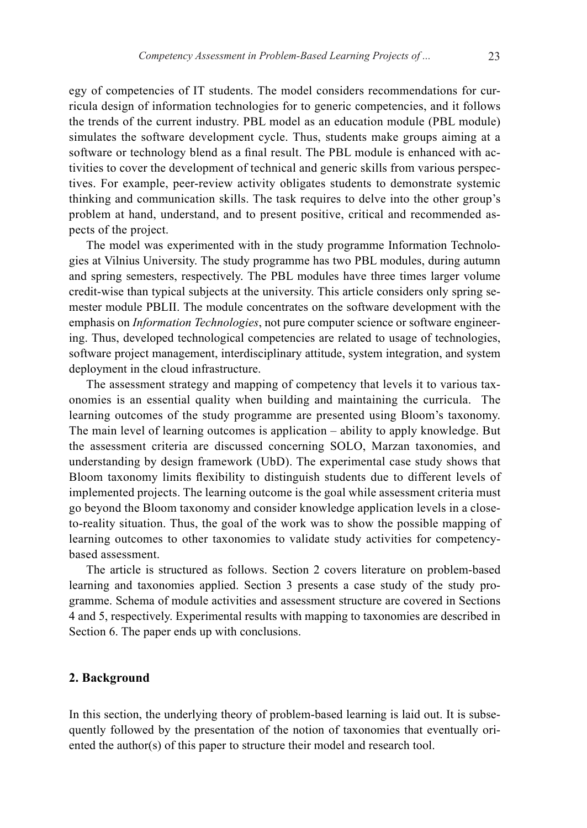egy of competencies of IT students. The model considers recommendations for curricula design of information technologies for to generic competencies, and it follows the trends of the current industry. PBL model as an education module (PBL module) simulates the software development cycle. Thus, students make groups aiming at a software or technology blend as a final result. The PBL module is enhanced with activities to cover the development of technical and generic skills from various perspectives. For example, peer-review activity obligates students to demonstrate systemic thinking and communication skills. The task requires to delve into the other group's problem at hand, understand, and to present positive, critical and recommended aspects of the project.

The model was experimented with in the study programme Information Technologies at Vilnius University. The study programme has two PBL modules, during autumn and spring semesters, respectively. The PBL modules have three times larger volume credit-wise than typical subjects at the university. This article considers only spring semester module PBLII. The module concentrates on the software development with the emphasis on *Information Technologies*, not pure computer science or software engineering. Thus, developed technological competencies are related to usage of technologies, software project management, interdisciplinary attitude, system integration, and system deployment in the cloud infrastructure.

The assessment strategy and mapping of competency that levels it to various taxonomies is an essential quality when building and maintaining the curricula. The learning outcomes of the study programme are presented using Bloom's taxonomy. The main level of learning outcomes is application – ability to apply knowledge. But the assessment criteria are discussed concerning SOLO, Marzan taxonomies, and understanding by design framework (UbD). The experimental case study shows that Bloom taxonomy limits flexibility to distinguish students due to different levels of implemented projects. The learning outcome is the goal while assessment criteria must go beyond the Bloom taxonomy and consider knowledge application levels in a closeto-reality situation. Thus, the goal of the work was to show the possible mapping of learning outcomes to other taxonomies to validate study activities for competencybased assessment.

The article is structured as follows. Section 2 covers literature on problem-based learning and taxonomies applied. Section 3 presents a case study of the study programme. Schema of module activities and assessment structure are covered in Sections 4 and 5, respectively. Experimental results with mapping to taxonomies are described in Section 6. The paper ends up with conclusions.

## **2. Background**

In this section, the underlying theory of problem-based learning is laid out. It is subsequently followed by the presentation of the notion of taxonomies that eventually oriented the author(s) of this paper to structure their model and research tool.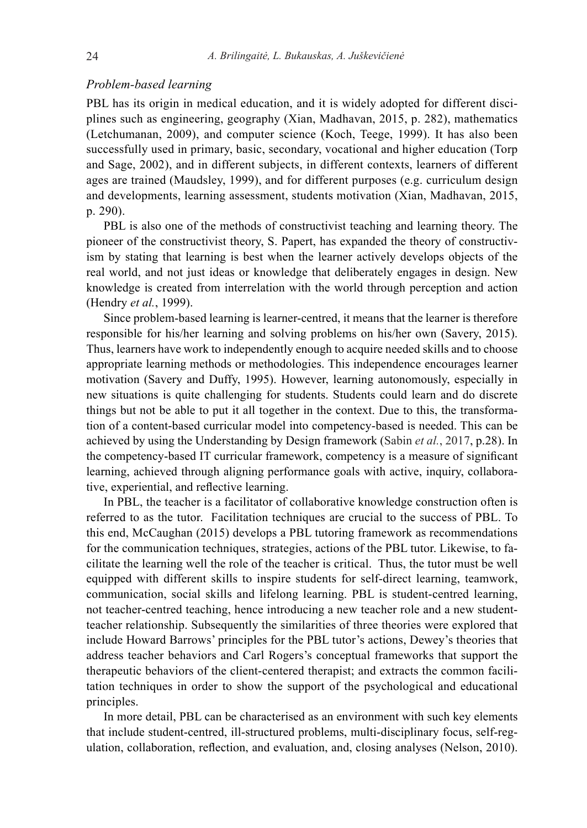#### *Problem-based learning*

PBL has its origin in medical education, and it is widely adopted for different disciplines such as engineering, geography (Xian, Madhavan, 2015, p. 282), mathematics (Letchumanan, 2009), and computer science (Koch, Teege, 1999). It has also been successfully used in primary, basic, secondary, vocational and higher education (Torp and Sage, 2002), and in different subjects, in different contexts, learners of different ages are trained (Maudsley, 1999), and for different purposes (e.g. curriculum design and developments, learning assessment, students motivation (Xian, Madhavan, 2015, p. 290).

PBL is also one of the methods of constructivist teaching and learning theory. The pioneer of the constructivist theory, S. Papert, has expanded the theory of constructivism by stating that learning is best when the learner actively develops objects of the real world, and not just ideas or knowledge that deliberately engages in design. New knowledge is created from interrelation with the world through perception and action (Hendry *et al.*, 1999).

Since problem-based learning is learner-centred, it means that the learner is therefore responsible for his/her learning and solving problems on his/her own (Savery, 2015). Thus, learners have work to independently enough to acquire needed skills and to choose appropriate learning methods or methodologies. This independence encourages learner motivation (Savery and Duffy, 1995). However, learning autonomously, especially in new situations is quite challenging for students. Students could learn and do discrete things but not be able to put it all together in the context. Due to this, the transformation of a content-based curricular model into competency-based is needed. This can be achieved by using the Understanding by Design framework (Sabin *et al.*, 2017, p.28). In the competency-based IT curricular framework, competency is a measure of significant learning, achieved through aligning performance goals with active, inquiry, collaborative, experiential, and reflective learning.

In PBL, the teacher is a facilitator of collaborative knowledge construction often is referred to as the tutor. Facilitation techniques are crucial to the success of PBL. To this end, McCaughan (2015) develops a PBL tutoring framework as recommendations for the communication techniques, strategies, actions of the PBL tutor. Likewise, to facilitate the learning well the role of the teacher is critical. Thus, the tutor must be well equipped with different skills to inspire students for self-direct learning, teamwork, communication, social skills and lifelong learning. PBL is student-centred learning, not teacher-centred teaching, hence introducing a new teacher role and a new studentteacher relationship. Subsequently the similarities of three theories were explored that include Howard Barrows' principles for the PBL tutor's actions, Dewey's theories that address teacher behaviors and Carl Rogers's conceptual frameworks that support the therapeutic behaviors of the client-centered therapist; and extracts the common facilitation techniques in order to show the support of the psychological and educational principles.

In more detail, PBL can be characterised as an environment with such key elements that include student-centred, ill-structured problems, multi-disciplinary focus, self-regulation, collaboration, reflection, and evaluation, and, closing analyses (Nelson, 2010).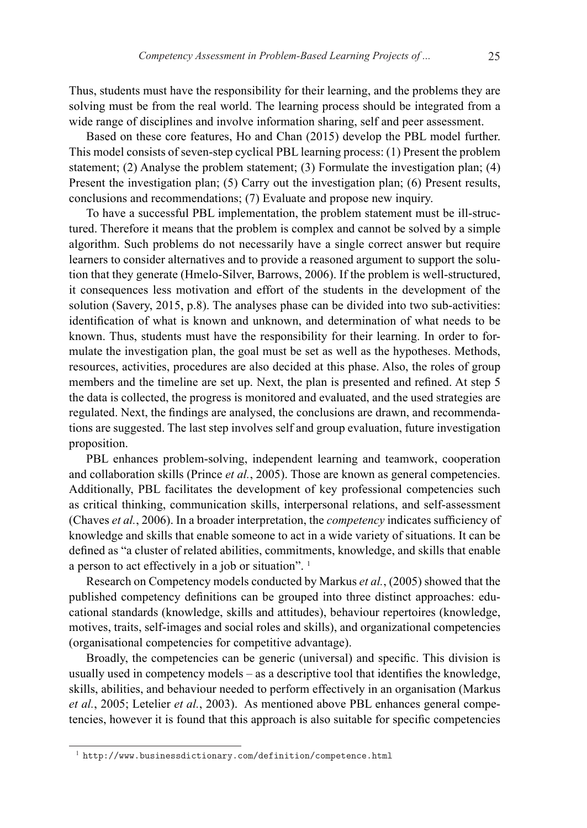Thus, students must have the responsibility for their learning, and the problems they are solving must be from the real world. The learning process should be integrated from a wide range of disciplines and involve information sharing, self and peer assessment.

Based on these core features, Ho and Chan (2015) develop the PBL model further. This model consists of seven-step cyclical PBL learning process: (1) Present the problem statement; (2) Analyse the problem statement; (3) Formulate the investigation plan; (4) Present the investigation plan; (5) Carry out the investigation plan; (6) Present results, conclusions and recommendations; (7) Evaluate and propose new inquiry.

To have a successful PBL implementation, the problem statement must be ill-structured. Therefore it means that the problem is complex and cannot be solved by a simple algorithm. Such problems do not necessarily have a single correct answer but require learners to consider alternatives and to provide a reasoned argument to support the solution that they generate (Hmelo-Silver, Barrows, 2006). If the problem is well-structured, it consequences less motivation and effort of the students in the development of the solution (Savery, 2015, p.8). The analyses phase can be divided into two sub-activities: identification of what is known and unknown, and determination of what needs to be known. Thus, students must have the responsibility for their learning. In order to formulate the investigation plan, the goal must be set as well as the hypotheses. Methods, resources, activities, procedures are also decided at this phase. Also, the roles of group members and the timeline are set up. Next, the plan is presented and refined. At step 5 the data is collected, the progress is monitored and evaluated, and the used strategies are regulated. Next, the findings are analysed, the conclusions are drawn, and recommendations are suggested. The last step involves self and group evaluation, future investigation proposition.

PBL enhances problem-solving, independent learning and teamwork, cooperation and collaboration skills (Prince *et al.*, 2005). Those are known as general competencies. Additionally, PBL facilitates the development of key professional competencies such as critical thinking, communication skills, interpersonal relations, and self-assessment (Chaves *et al.*, 2006). In a broader interpretation, the *competency* indicates sufficiency of knowledge and skills that enable someone to act in a wide variety of situations. It can be defined as "a cluster of related abilities, commitments, knowledge, and skills that enable a person to act effectively in a job or situation". <sup>1</sup>

Research on Competency models conducted by Markus *et al.*, (2005) showed that the published competency definitions can be grouped into three distinct approaches: educational standards (knowledge, skills and attitudes), behaviour repertoires (knowledge, motives, traits, self-images and social roles and skills), and organizational competencies (organisational competencies for competitive advantage).

Broadly, the competencies can be generic (universal) and specific. This division is usually used in competency models – as a descriptive tool that identifies the knowledge, skills, abilities, and behaviour needed to perform effectively in an organisation (Markus *et al.*, 2005; Letelier *et al.*, 2003). As mentioned above PBL enhances general competencies, however it is found that this approach is also suitable for specific competencies

 $1$  http://www.businessdictionary.com/definition/competence.html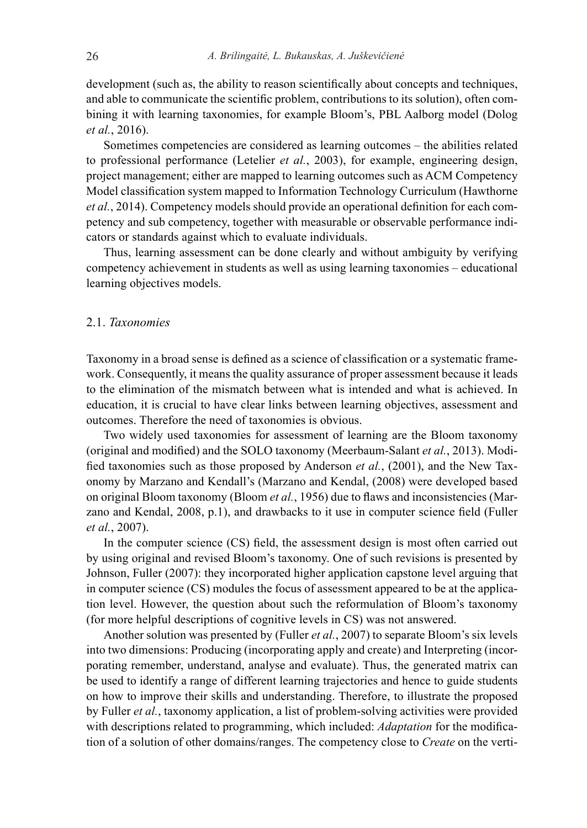development (such as, the ability to reason scientifically about concepts and techniques, and able to communicate the scientific problem, contributions to its solution), often combining it with learning taxonomies, for example Bloom's, PBL Aalborg model (Dolog *et al.*, 2016).

Sometimes competencies are considered as learning outcomes – the abilities related to professional performance (Letelier *et al.*, 2003), for example, engineering design, project management; either are mapped to learning outcomes such as ACM Competency Model classification system mapped to Information Technology Curriculum (Hawthorne *et al.*, 2014). Competency models should provide an operational definition for each competency and sub competency, together with measurable or observable performance indicators or standards against which to evaluate individuals.

Thus, learning assessment can be done clearly and without ambiguity by verifying competency achievement in students as well as using learning taxonomies – educational learning objectives models.

#### 2.1. *Taxonomies*

Taxonomy in a broad sense is defined as a science of classification or a systematic framework. Consequently, it means the quality assurance of proper assessment because it leads to the elimination of the mismatch between what is intended and what is achieved. In education, it is crucial to have clear links between learning objectives, assessment and outcomes. Therefore the need of taxonomies is obvious.

Two widely used taxonomies for assessment of learning are the Bloom taxonomy (original and modified) and the SOLO taxonomy (Meerbaum-Salant *et al.*, 2013). Modified taxonomies such as those proposed by Anderson *et al.*, (2001), and the New Taxonomy by Marzano and Kendall's (Marzano and Kendal, (2008) were developed based on original Bloom taxonomy (Bloom *et al.*, 1956) due to flaws and inconsistencies (Marzano and Kendal, 2008, p.1), and drawbacks to it use in computer science field (Fuller *et al.*, 2007).

In the computer science (CS) field, the assessment design is most often carried out by using original and revised Bloom's taxonomy. One of such revisions is presented by Johnson, Fuller (2007): they incorporated higher application capstone level arguing that in computer science (CS) modules the focus of assessment appeared to be at the application level. However, the question about such the reformulation of Bloom's taxonomy (for more helpful descriptions of cognitive levels in CS) was not answered.

Another solution was presented by (Fuller *et al.*, 2007) to separate Bloom's six levels into two dimensions: Producing (incorporating apply and create) and Interpreting (incorporating remember, understand, analyse and evaluate). Thus, the generated matrix can be used to identify a range of different learning trajectories and hence to guide students on how to improve their skills and understanding. Therefore, to illustrate the proposed by Fuller *et al.*, taxonomy application, a list of problem-solving activities were provided with descriptions related to programming, which included: *Adaptation* for the modification of a solution of other domains/ranges. The competency close to *Create* on the verti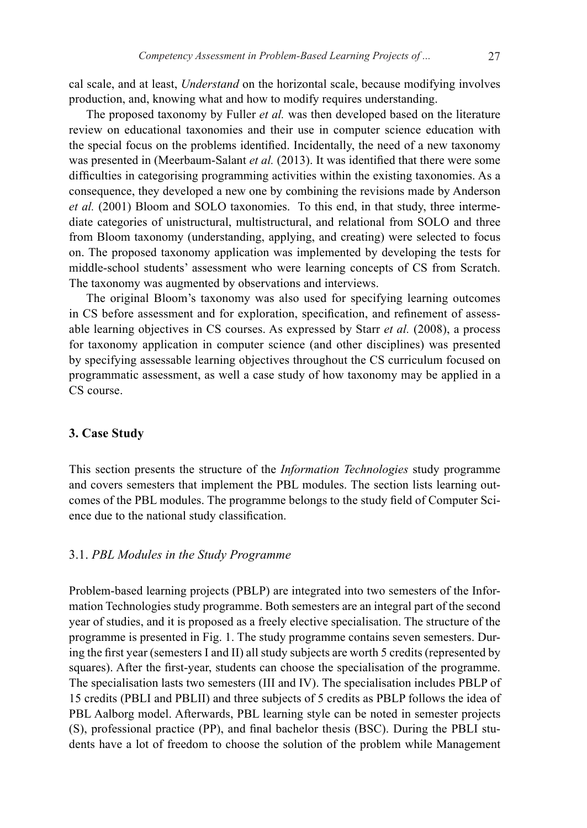cal scale, and at least, *Understand* on the horizontal scale, because modifying involves production, and, knowing what and how to modify requires understanding.

The proposed taxonomy by Fuller *et al.* was then developed based on the literature review on educational taxonomies and their use in computer science education with the special focus on the problems identified. Incidentally, the need of a new taxonomy was presented in (Meerbaum-Salant *et al.* (2013). It was identified that there were some difficulties in categorising programming activities within the existing taxonomies. As a consequence, they developed a new one by combining the revisions made by Anderson *et al.* (2001) Bloom and SOLO taxonomies. To this end, in that study, three intermediate categories of unistructural, multistructural, and relational from SOLO and three from Bloom taxonomy (understanding, applying, and creating) were selected to focus on. The proposed taxonomy application was implemented by developing the tests for middle-school students' assessment who were learning concepts of CS from Scratch. The taxonomy was augmented by observations and interviews.

The original Bloom's taxonomy was also used for specifying learning outcomes in CS before assessment and for exploration, specification, and refinement of assessable learning objectives in CS courses. As expressed by Starr *et al.* (2008), a process for taxonomy application in computer science (and other disciplines) was presented by specifying assessable learning objectives throughout the CS curriculum focused on programmatic assessment, as well a case study of how taxonomy may be applied in a CS course.

## **3. Case Study**

This section presents the structure of the *Information Technologies* study programme and covers semesters that implement the PBL modules. The section lists learning outcomes of the PBL modules. The programme belongs to the study field of Computer Science due to the national study classification.

#### 3.1. *PBL Modules in the Study Programme*

Problem-based learning projects (PBLP) are integrated into two semesters of the Information Technologies study programme. Both semesters are an integral part of the second year of studies, and it is proposed as a freely elective specialisation. The structure of the programme is presented in Fig. 1. The study programme contains seven semesters. During the first year (semesters I and II) all study subjects are worth 5 credits (represented by squares). After the first-year, students can choose the specialisation of the programme. The specialisation lasts two semesters (III and IV). The specialisation includes PBLP of 15 credits (PBLI and PBLII) and three subjects of 5 credits as PBLP follows the idea of PBL Aalborg model. Afterwards, PBL learning style can be noted in semester projects (S), professional practice (PP), and final bachelor thesis (BSC). During the PBLI students have a lot of freedom to choose the solution of the problem while Management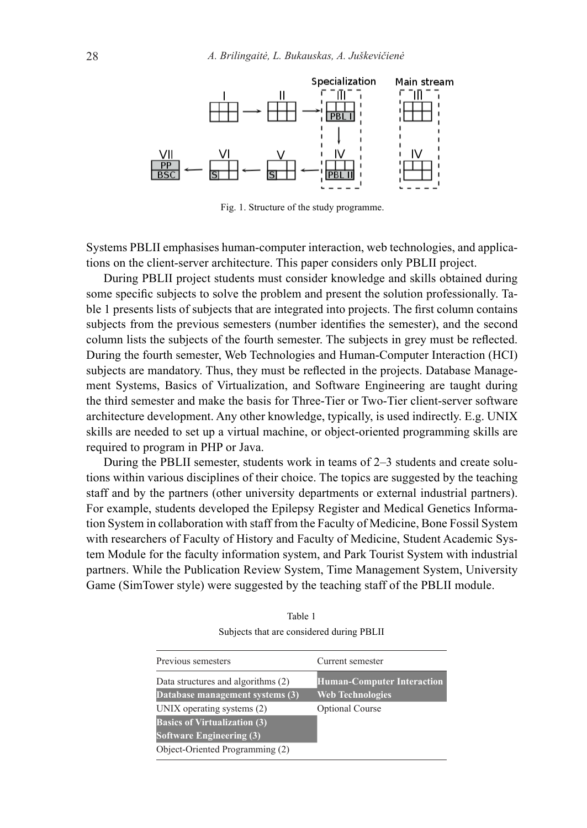

Fig. 1. Structure of the study programme.

Systems PBLII emphasises human-computer interaction, web technologies, and applications on the client-server architecture. This paper considers only PBLII project.

During PBLII project students must consider knowledge and skills obtained during some specific subjects to solve the problem and present the solution professionally. Table 1 presents lists of subjects that are integrated into projects. The first column contains subjects from the previous semesters (number identifies the semester), and the second column lists the subjects of the fourth semester. The subjects in grey must be reflected. During the fourth semester, Web Technologies and Human-Computer Interaction (HCI) subjects are mandatory. Thus, they must be reflected in the projects. Database Management Systems, Basics of Virtualization, and Software Engineering are taught during the third semester and make the basis for Three-Tier or Two-Tier client-server software architecture development. Any other knowledge, typically, is used indirectly. E.g. UNIX skills are needed to set up a virtual machine, or object-oriented programming skills are required to program in PHP or Java.

During the PBLII semester, students work in teams of 2–3 students and create solutions within various disciplines of their choice. The topics are suggested by the teaching staff and by the partners (other university departments or external industrial partners). For example, students developed the Epilepsy Register and Medical Genetics Information System in collaboration with staff from the Faculty of Medicine, Bone Fossil System with researchers of Faculty of History and Faculty of Medicine, Student Academic System Module for the faculty information system, and Park Tourist System with industrial partners. While the Publication Review System, Time Management System, University Game (SimTower style) were suggested by the teaching staff of the PBLII module.

| Table 1                                   |
|-------------------------------------------|
| Subjects that are considered during PBLII |

| Previous semesters                  | Current semester                  |
|-------------------------------------|-----------------------------------|
| Data structures and algorithms (2)  | <b>Human-Computer Interaction</b> |
| Database management systems (3)     | <b>Web Technologies</b>           |
| UNIX operating systems (2)          | <b>Optional Course</b>            |
| <b>Basics of Virtualization (3)</b> |                                   |
| <b>Software Engineering (3)</b>     |                                   |
| Object-Oriented Programming (2)     |                                   |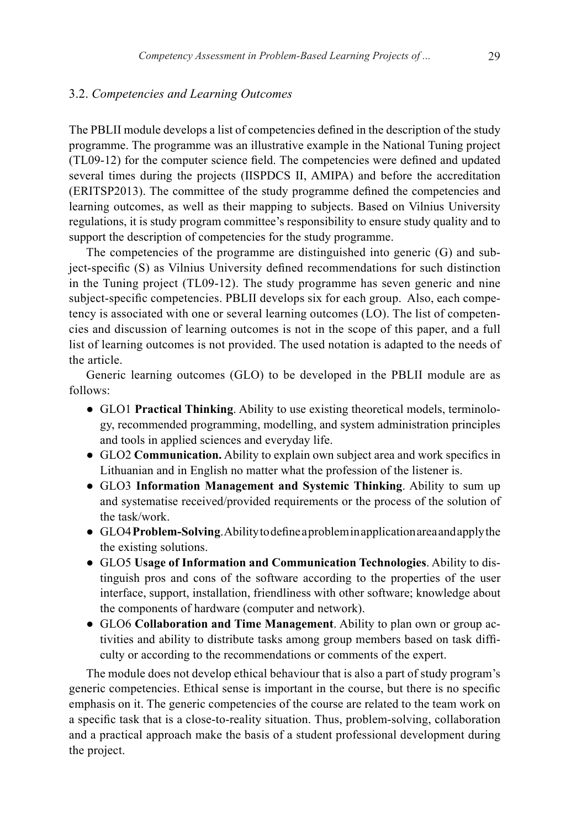#### 3.2. *Competencies and Learning Outcomes*

The PBLII module develops a list of competencies defined in the description of the study programme. The programme was an illustrative example in the National Tuning project (TL09-12) for the computer science field. The competencies were defined and updated several times during the projects (IISPDCS II, AMIPA) and before the accreditation (ERITSP2013). The committee of the study programme defined the competencies and learning outcomes, as well as their mapping to subjects. Based on Vilnius University regulations, it is study program committee's responsibility to ensure study quality and to support the description of competencies for the study programme.

The competencies of the programme are distinguished into generic (G) and subject-specific (S) as Vilnius University defined recommendations for such distinction in the Tuning project (TL09-12). The study programme has seven generic and nine subject-specific competencies. PBLII develops six for each group. Also, each competency is associated with one or several learning outcomes (LO). The list of competencies and discussion of learning outcomes is not in the scope of this paper, and a full list of learning outcomes is not provided. The used notation is adapted to the needs of the article.

Generic learning outcomes (GLO) to be developed in the PBLII module are as follows:

- GLO1 **Practical Thinking**. Ability to use existing theoretical models, terminology, recommended programming, modelling, and system administration principles and tools in applied sciences and everyday life.
- GLO2 **Communication.** Ability to explain own subject area and work specifics in Lithuanian and in English no matter what the profession of the listener is.
- GLO3 **Information Management and Systemic Thinking**. Ability to sum up and systematise received/provided requirements or the process of the solution of the task/work.
- GLO4 **Problem-Solving**. Ability to define a problem in application area and apply the the existing solutions.
- GLO5 **Usage of Information and Communication Technologies**. Ability to distinguish pros and cons of the software according to the properties of the user interface, support, installation, friendliness with other software; knowledge about the components of hardware (computer and network).
- GLO6 **Collaboration and Time Management**. Ability to plan own or group activities and ability to distribute tasks among group members based on task difficulty or according to the recommendations or comments of the expert.

The module does not develop ethical behaviour that is also a part of study program's generic competencies. Ethical sense is important in the course, but there is no specific emphasis on it. The generic competencies of the course are related to the team work on a specific task that is a close-to-reality situation. Thus, problem-solving, collaboration and a practical approach make the basis of a student professional development during the project.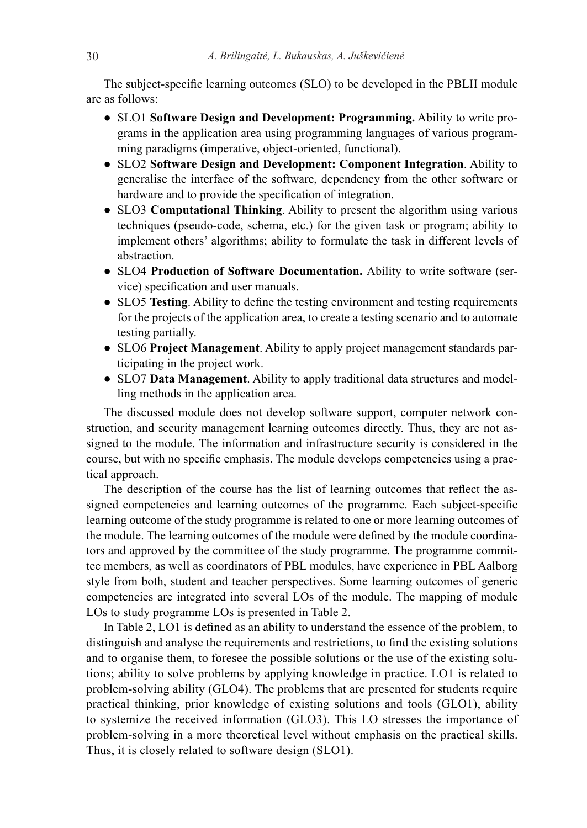The subject-specific learning outcomes (SLO) to be developed in the PBLII module are as follows:

- SLO1 **Software Design and Development: Programming.** Ability to write programs in the application area using programming languages of various programming paradigms (imperative, object-oriented, functional).
- SLO2 **Software Design and Development: Component Integration**. Ability to generalise the interface of the software, dependency from the other software or hardware and to provide the specification of integration.
- SLO3 **Computational Thinking**. Ability to present the algorithm using various techniques (pseudo-code, schema, etc.) for the given task or program; ability to implement others' algorithms; ability to formulate the task in different levels of abstraction.
- SLO4 **Production of Software Documentation.** Ability to write software (service) specification and user manuals.
- SLO5 **Testing**. Ability to define the testing environment and testing requirements for the projects of the application area, to create a testing scenario and to automate testing partially.
- SLO6 **Project Management**. Ability to apply project management standards participating in the project work.
- SLO7 **Data Management**. Ability to apply traditional data structures and modelling methods in the application area.

The discussed module does not develop software support, computer network construction, and security management learning outcomes directly. Thus, they are not assigned to the module. The information and infrastructure security is considered in the course, but with no specific emphasis. The module develops competencies using a practical approach.

The description of the course has the list of learning outcomes that reflect the assigned competencies and learning outcomes of the programme. Each subject-specific learning outcome of the study programme is related to one or more learning outcomes of the module. The learning outcomes of the module were defined by the module coordinators and approved by the committee of the study programme. The programme committee members, as well as coordinators of PBL modules, have experience in PBL Aalborg style from both, student and teacher perspectives. Some learning outcomes of generic competencies are integrated into several LOs of the module. The mapping of module LOs to study programme LOs is presented in Table 2.

In Table 2, LO1 is defined as an ability to understand the essence of the problem, to distinguish and analyse the requirements and restrictions, to find the existing solutions and to organise them, to foresee the possible solutions or the use of the existing solutions; ability to solve problems by applying knowledge in practice. LO1 is related to problem-solving ability (GLO4). The problems that are presented for students require practical thinking, prior knowledge of existing solutions and tools (GLO1), ability to systemize the received information (GLO3). This LO stresses the importance of problem-solving in a more theoretical level without emphasis on the practical skills. Thus, it is closely related to software design (SLO1).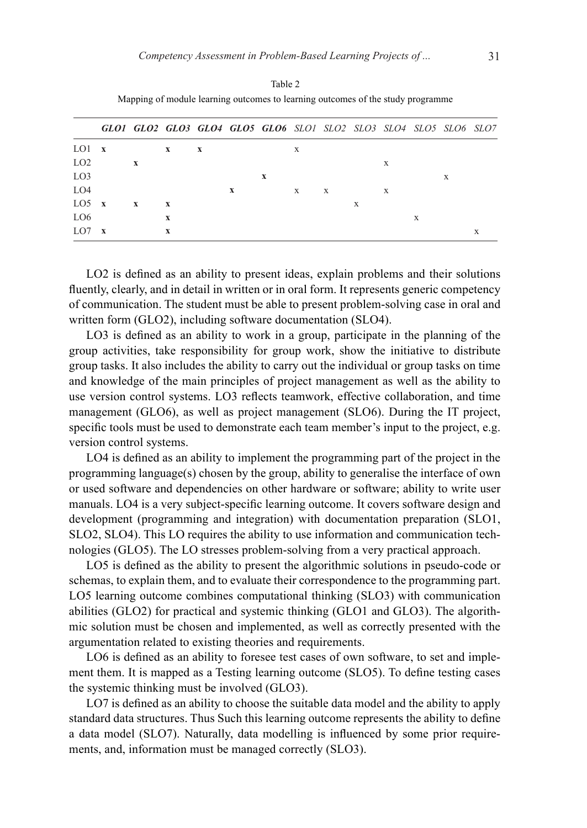|                 |              |              |              |             |   | GLO1 GLO2 GLO3 GLO4 GLO5 GLO6 SLO1 SLO2 SLO3 SLO4 SLO5 SLO6 SLO7 |   |   |   |   |   |   |  |
|-----------------|--------------|--------------|--------------|-------------|---|------------------------------------------------------------------|---|---|---|---|---|---|--|
| LO1             | $\mathbf{x}$ |              | $\mathbf{x}$ | $\mathbf x$ |   |                                                                  | X |   |   |   |   |   |  |
| LO <sub>2</sub> |              | X            |              |             |   |                                                                  |   |   |   | X |   |   |  |
| LO <sub>3</sub> |              |              |              |             |   | X                                                                |   |   |   |   |   | X |  |
| LO <sub>4</sub> |              |              |              |             | X |                                                                  | X | X |   | X |   |   |  |
| LO5             | $\mathbf{x}$ | $\mathbf{x}$ | X            |             |   |                                                                  |   |   | X |   |   |   |  |
| LO <sub>6</sub> |              |              | $\mathbf x$  |             |   |                                                                  |   |   |   |   | X |   |  |
| LO <sub>7</sub> | X            |              |              |             |   |                                                                  |   |   |   |   |   |   |  |

Table 2 Mapping of module learning outcomes to learning outcomes of the study programme

LO2 is defined as an ability to present ideas, explain problems and their solutions fluently, clearly, and in detail in written or in oral form. It represents generic competency of communication. The student must be able to present problem-solving case in oral and written form (GLO2), including software documentation (SLO4).

LO3 is defined as an ability to work in a group, participate in the planning of the group activities, take responsibility for group work, show the initiative to distribute group tasks. It also includes the ability to carry out the individual or group tasks on time and knowledge of the main principles of project management as well as the ability to use version control systems. LO3 reflects teamwork, effective collaboration, and time management (GLO6), as well as project management (SLO6). During the IT project, specific tools must be used to demonstrate each team member's input to the project, e.g. version control systems.

LO4 is defined as an ability to implement the programming part of the project in the programming language(s) chosen by the group, ability to generalise the interface of own or used software and dependencies on other hardware or software; ability to write user manuals. LO4 is a very subject-specific learning outcome. It covers software design and development (programming and integration) with documentation preparation (SLO1, SLO2, SLO4). This LO requires the ability to use information and communication technologies (GLO5). The LO stresses problem-solving from a very practical approach.

LO5 is defined as the ability to present the algorithmic solutions in pseudo-code or schemas, to explain them, and to evaluate their correspondence to the programming part. LO5 learning outcome combines computational thinking (SLO3) with communication abilities (GLO2) for practical and systemic thinking (GLO1 and GLO3). The algorithmic solution must be chosen and implemented, as well as correctly presented with the argumentation related to existing theories and requirements.

LO6 is defined as an ability to foresee test cases of own software, to set and implement them. It is mapped as a Testing learning outcome (SLO5). To define testing cases the systemic thinking must be involved (GLO3).

LO7 is defined as an ability to choose the suitable data model and the ability to apply standard data structures. Thus Such this learning outcome represents the ability to define a data model (SLO7). Naturally, data modelling is influenced by some prior requirements, and, information must be managed correctly (SLO3).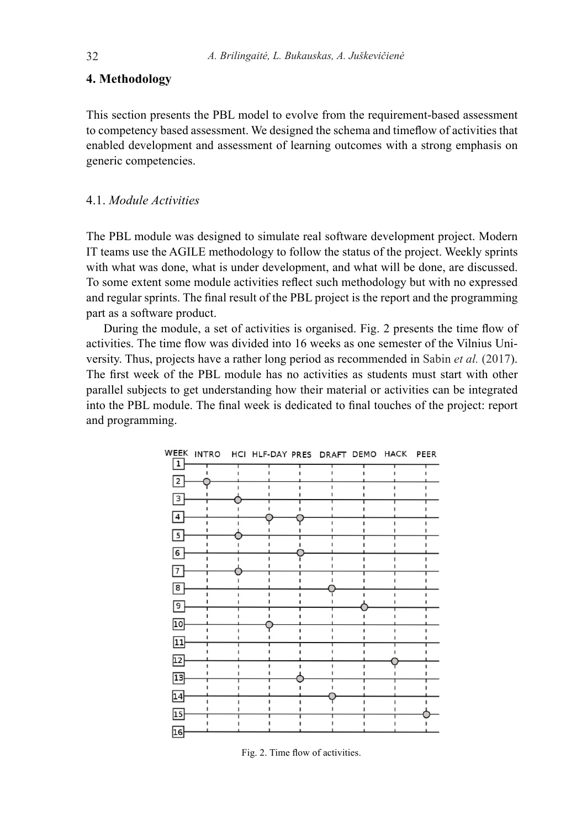## **4. Methodology**

This section presents the PBL model to evolve from the requirement-based assessment to competency based assessment. We designed the schema and timeflow of activities that enabled development and assessment of learning outcomes with a strong emphasis on generic competencies.

## 4.1. *Module Activities*

The PBL module was designed to simulate real software development project. Modern IT teams use the AGILE methodology to follow the status of the project. Weekly sprints with what was done, what is under development, and what will be done, are discussed. To some extent some module activities reflect such methodology but with no expressed and regular sprints. The final result of the PBL project is the report and the programming part as a software product.

During the module, a set of activities is organised. Fig. 2 presents the time flow of activities. The time flow was divided into 16 weeks as one semester of the Vilnius University. Thus, projects have a rather long period as recommended in Sabin *et al.* (2017). The first week of the PBL module has no activities as students must start with other parallel subjects to get understanding how their material or activities can be integrated into the PBL module. The final week is dedicated to final touches of the project: report and programming.



Fig. 2. Time flow of activities.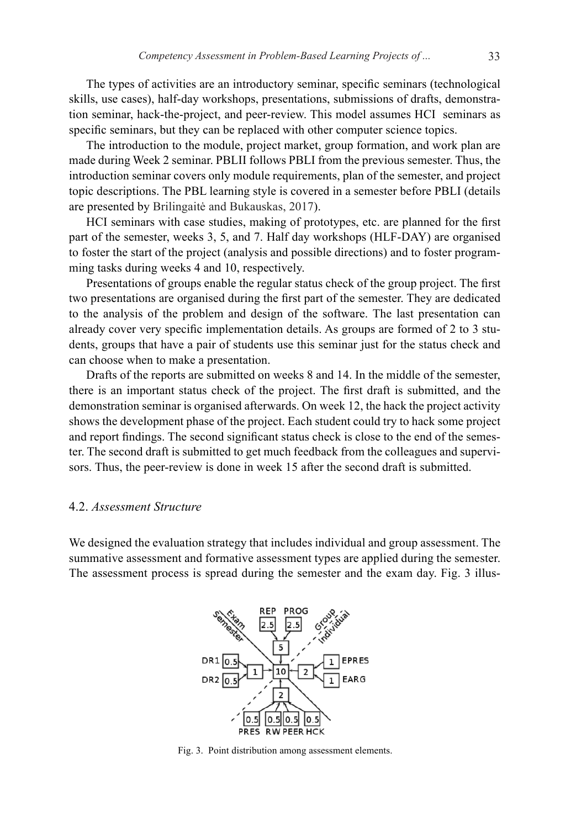The types of activities are an introductory seminar, specific seminars (technological skills, use cases), half-day workshops, presentations, submissions of drafts, demonstration seminar, hack-the-project, and peer-review. This model assumes HCI seminars as specific seminars, but they can be replaced with other computer science topics.

The introduction to the module, project market, group formation, and work plan are made during Week 2 seminar. PBLII follows PBLI from the previous semester. Thus, the introduction seminar covers only module requirements, plan of the semester, and project topic descriptions. The PBL learning style is covered in a semester before PBLI (details are presented by Brilingaitė and Bukauskas, 2017).

HCI seminars with case studies, making of prototypes, etc. are planned for the first part of the semester, weeks 3, 5, and 7. Half day workshops (HLF-DAY) are organised to foster the start of the project (analysis and possible directions) and to foster programming tasks during weeks 4 and 10, respectively.

Presentations of groups enable the regular status check of the group project. The first two presentations are organised during the first part of the semester. They are dedicated to the analysis of the problem and design of the software. The last presentation can already cover very specific implementation details. As groups are formed of 2 to 3 students, groups that have a pair of students use this seminar just for the status check and can choose when to make a presentation.

Drafts of the reports are submitted on weeks 8 and 14. In the middle of the semester, there is an important status check of the project. The first draft is submitted, and the demonstration seminar is organised afterwards. On week 12, the hack the project activity shows the development phase of the project. Each student could try to hack some project and report findings. The second significant status check is close to the end of the semester. The second draft is submitted to get much feedback from the colleagues and supervisors. Thus, the peer-review is done in week 15 after the second draft is submitted.

#### 4.2. *Assessment Structure*

We designed the evaluation strategy that includes individual and group assessment. The summative assessment and formative assessment types are applied during the semester. The assessment process is spread during the semester and the exam day. Fig. 3 illus-



Fig. 3. Point distribution among assessment elements.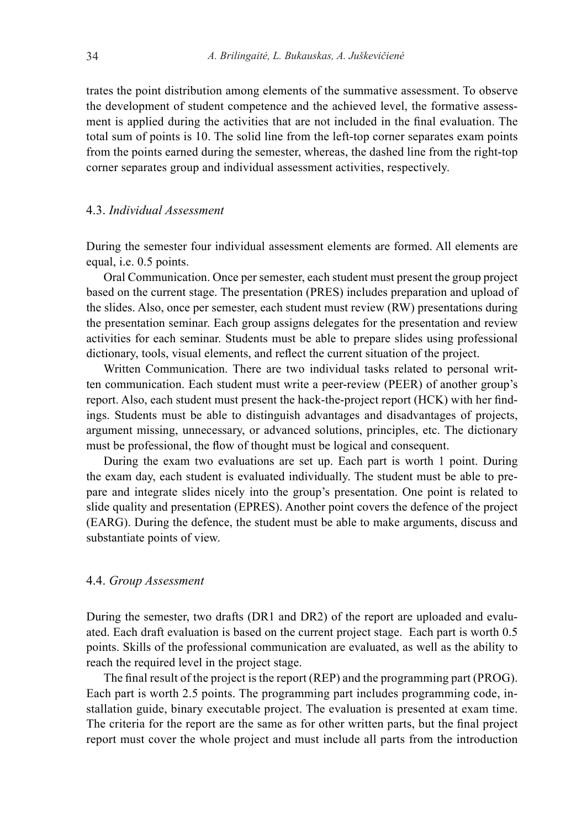trates the point distribution among elements of the summative assessment. To observe the development of student competence and the achieved level, the formative assessment is applied during the activities that are not included in the final evaluation. The total sum of points is 10. The solid line from the left-top corner separates exam points from the points earned during the semester, whereas, the dashed line from the right-top corner separates group and individual assessment activities, respectively.

## 4.3. *Individual Assessment*

During the semester four individual assessment elements are formed. All elements are equal, i.e. 0.5 points.

Oral Communication. Once per semester, each student must present the group project based on the current stage. The presentation (PRES) includes preparation and upload of the slides. Also, once per semester, each student must review (RW) presentations during the presentation seminar. Each group assigns delegates for the presentation and review activities for each seminar. Students must be able to prepare slides using professional dictionary, tools, visual elements, and reflect the current situation of the project.

Written Communication. There are two individual tasks related to personal written communication. Each student must write a peer-review (PEER) of another group's report. Also, each student must present the hack-the-project report (HCK) with her findings. Students must be able to distinguish advantages and disadvantages of projects, argument missing, unnecessary, or advanced solutions, principles, etc. The dictionary must be professional, the flow of thought must be logical and consequent.

During the exam two evaluations are set up. Each part is worth 1 point. During the exam day, each student is evaluated individually. The student must be able to prepare and integrate slides nicely into the group's presentation. One point is related to slide quality and presentation (EPRES). Another point covers the defence of the project (EARG). During the defence, the student must be able to make arguments, discuss and substantiate points of view.

#### 4.4. *Group Assessment*

During the semester, two drafts (DR1 and DR2) of the report are uploaded and evaluated. Each draft evaluation is based on the current project stage. Each part is worth 0.5 points. Skills of the professional communication are evaluated, as well as the ability to reach the required level in the project stage.

The final result of the project is the report (REP) and the programming part (PROG). Each part is worth 2.5 points. The programming part includes programming code, installation guide, binary executable project. The evaluation is presented at exam time. The criteria for the report are the same as for other written parts, but the final project report must cover the whole project and must include all parts from the introduction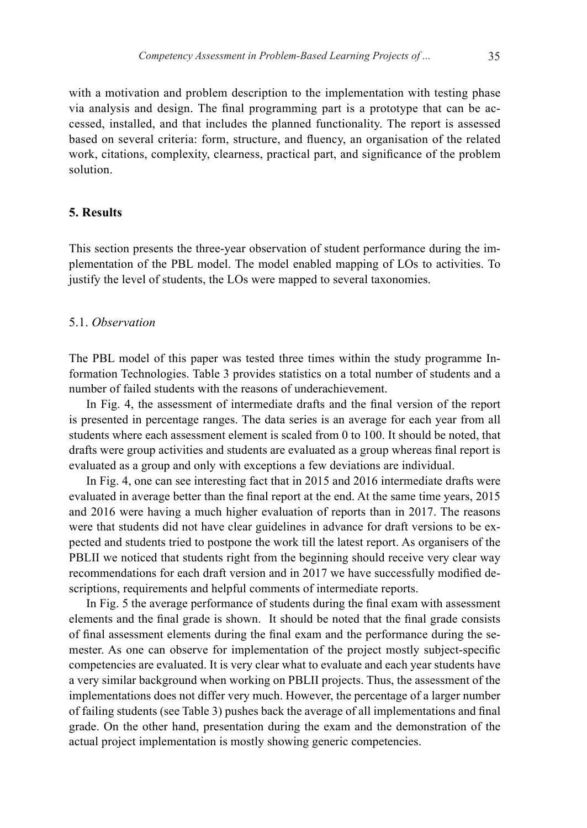with a motivation and problem description to the implementation with testing phase via analysis and design. The final programming part is a prototype that can be accessed, installed, and that includes the planned functionality. The report is assessed based on several criteria: form, structure, and fluency, an organisation of the related work, citations, complexity, clearness, practical part, and significance of the problem solution.

## **5. Results**

This section presents the three-year observation of student performance during the implementation of the PBL model. The model enabled mapping of LOs to activities. To justify the level of students, the LOs were mapped to several taxonomies.

## 5.1. *Observation*

The PBL model of this paper was tested three times within the study programme Information Technologies. Table 3 provides statistics on a total number of students and a number of failed students with the reasons of underachievement.

In Fig. 4, the assessment of intermediate drafts and the final version of the report is presented in percentage ranges. The data series is an average for each year from all students where each assessment element is scaled from 0 to 100. It should be noted, that drafts were group activities and students are evaluated as a group whereas final report is evaluated as a group and only with exceptions a few deviations are individual.

In Fig. 4, one can see interesting fact that in 2015 and 2016 intermediate drafts were evaluated in average better than the final report at the end. At the same time years, 2015 and 2016 were having a much higher evaluation of reports than in 2017. The reasons were that students did not have clear guidelines in advance for draft versions to be expected and students tried to postpone the work till the latest report. As organisers of the PBLII we noticed that students right from the beginning should receive very clear way recommendations for each draft version and in 2017 we have successfully modified descriptions, requirements and helpful comments of intermediate reports.

In Fig. 5 the average performance of students during the final exam with assessment elements and the final grade is shown. It should be noted that the final grade consists of final assessment elements during the final exam and the performance during the semester. As one can observe for implementation of the project mostly subject-specific competencies are evaluated. It is very clear what to evaluate and each year students have a very similar background when working on PBLII projects. Thus, the assessment of the implementations does not differ very much. However, the percentage of a larger number of failing students (see Table 3) pushes back the average of all implementations and final grade. On the other hand, presentation during the exam and the demonstration of the actual project implementation is mostly showing generic competencies.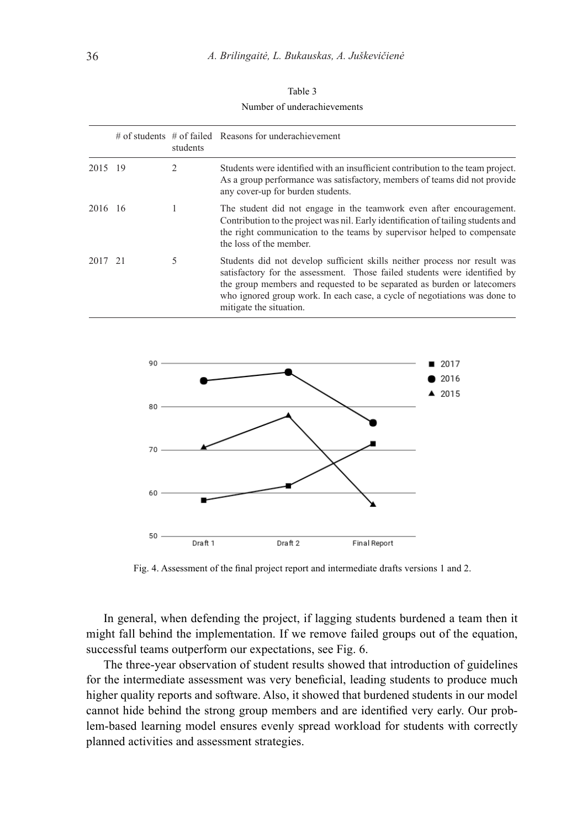| Table 3                     |
|-----------------------------|
| Number of underachievements |

|         | students | $#$ of students $#$ of failed Reasons for underachievement                                                                                                                                                                                                                                                                                |
|---------|----------|-------------------------------------------------------------------------------------------------------------------------------------------------------------------------------------------------------------------------------------------------------------------------------------------------------------------------------------------|
| 2015 19 |          | Students were identified with an insufficient contribution to the team project.<br>As a group performance was satisfactory, members of teams did not provide<br>any cover-up for burden students.                                                                                                                                         |
| 2016 16 |          | The student did not engage in the teamwork even after encouragement.<br>Contribution to the project was nil. Early identification of tailing students and<br>the right communication to the teams by supervisor helped to compensate<br>the loss of the member.                                                                           |
| 2017 21 | 5        | Students did not develop sufficient skills neither process nor result was<br>satisfactory for the assessment. Those failed students were identified by<br>the group members and requested to be separated as burden or latecomers<br>who ignored group work. In each case, a cycle of negotiations was done to<br>mitigate the situation. |



Fig. 4. Assessment of the final project report and intermediate drafts versions 1 and 2.

In general, when defending the project, if lagging students burdened a team then it might fall behind the implementation. If we remove failed groups out of the equation, successful teams outperform our expectations, see Fig. 6.

The three-year observation of student results showed that introduction of guidelines for the intermediate assessment was very beneficial, leading students to produce much higher quality reports and software. Also, it showed that burdened students in our model cannot hide behind the strong group members and are identified very early. Our problem-based learning model ensures evenly spread workload for students with correctly planned activities and assessment strategies.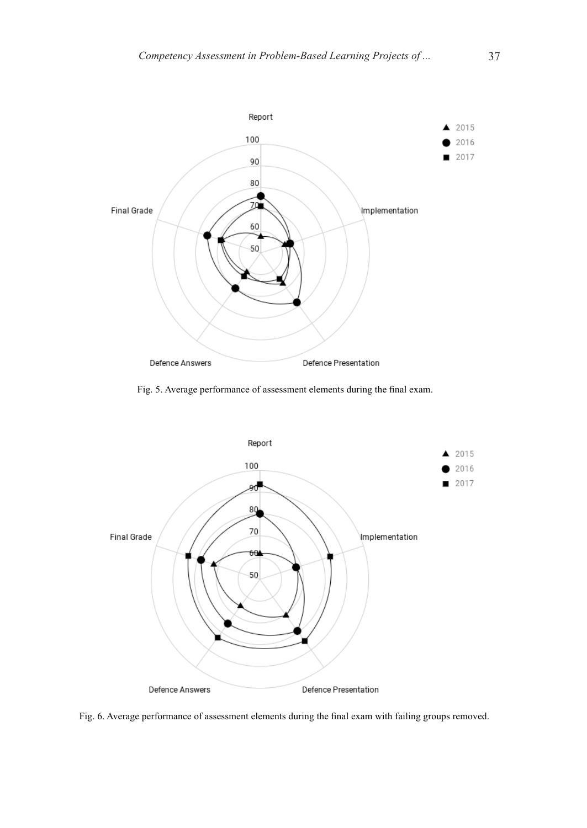

Fig. 5. Average performance of assessment elements during the final exam.



Fig. 6. Average performance of assessment elements during the final exam with failing groups removed.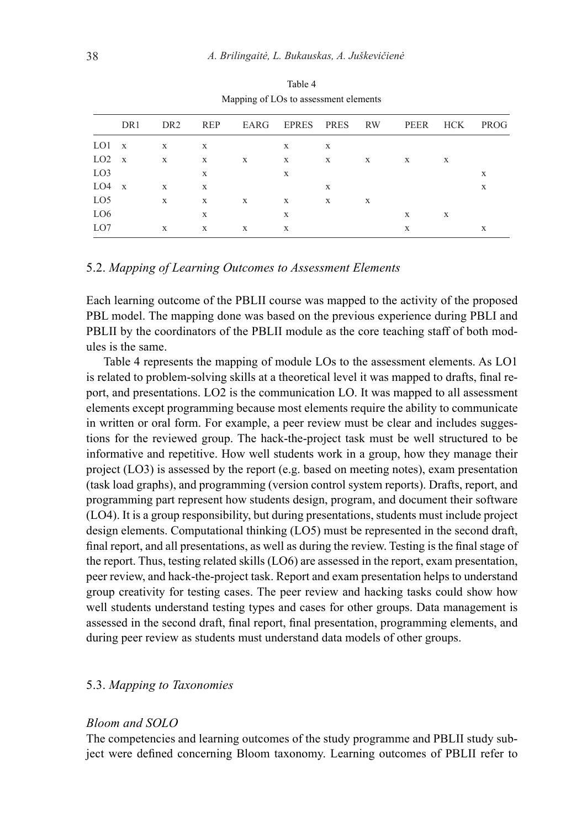|                 | DR1 | DR <sub>2</sub> |              |   | REP EARG EPRES PRES RW |   |   |   |   | PEER HCK PROG |
|-----------------|-----|-----------------|--------------|---|------------------------|---|---|---|---|---------------|
| $LO1 \, x$      |     | X               | X            |   | X                      | X |   |   |   |               |
| $LO2 \times$    |     | X               | X            | X | X                      | X | X | X | X |               |
| LO <sub>3</sub> |     |                 | X            |   | X                      |   |   |   |   | X             |
| $LO4 \times$    |     | X               | X            |   |                        | X |   |   |   | X             |
| LO <sub>5</sub> |     | X               | X            | X | X                      | X | X |   |   |               |
| LO <sub>6</sub> |     |                 | X            |   | X                      |   |   | X | X |               |
| LO7             |     | X               | $\mathbf{X}$ | X | $\mathbf{X}$           |   |   | X |   | X             |
|                 |     |                 |              |   |                        |   |   |   |   |               |

Table 4 Mapping of LOs to assessment elements

#### 5.2. *Mapping of Learning Outcomes to Assessment Elements*

Each learning outcome of the PBLII course was mapped to the activity of the proposed PBL model. The mapping done was based on the previous experience during PBLI and PBLII by the coordinators of the PBLII module as the core teaching staff of both modules is the same.

Table 4 represents the mapping of module LOs to the assessment elements. As LO1 is related to problem-solving skills at a theoretical level it was mapped to drafts, final report, and presentations. LO2 is the communication LO. It was mapped to all assessment elements except programming because most elements require the ability to communicate in written or oral form. For example, a peer review must be clear and includes suggestions for the reviewed group. The hack-the-project task must be well structured to be informative and repetitive. How well students work in a group, how they manage their project (LO3) is assessed by the report (e.g. based on meeting notes), exam presentation (task load graphs), and programming (version control system reports). Drafts, report, and programming part represent how students design, program, and document their software (LO4). It is a group responsibility, but during presentations, students must include project design elements. Computational thinking (LO5) must be represented in the second draft, final report, and all presentations, as well as during the review. Testing is the final stage of the report. Thus, testing related skills (LO6) are assessed in the report, exam presentation, peer review, and hack-the-project task. Report and exam presentation helps to understand group creativity for testing cases. The peer review and hacking tasks could show how well students understand testing types and cases for other groups. Data management is assessed in the second draft, final report, final presentation, programming elements, and during peer review as students must understand data models of other groups.

#### 5.3. *Mapping to Taxonomies*

### *Bloom and SOLO*

The competencies and learning outcomes of the study programme and PBLII study subject were defined concerning Bloom taxonomy. Learning outcomes of PBLII refer to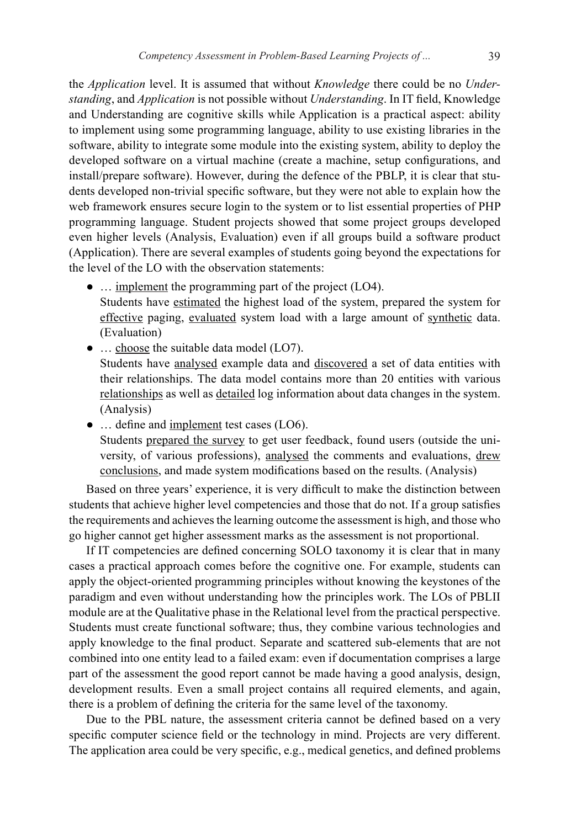the *Application* level. It is assumed that without *Knowledge* there could be no *Understanding*, and *Application* is not possible without *Understanding*. In IT field, Knowledge and Understanding are cognitive skills while Application is a practical aspect: ability to implement using some programming language, ability to use existing libraries in the software, ability to integrate some module into the existing system, ability to deploy the developed software on a virtual machine (create a machine, setup configurations, and install/prepare software). However, during the defence of the PBLP, it is clear that students developed non-trivial specific software, but they were not able to explain how the web framework ensures secure login to the system or to list essential properties of PHP programming language. Student projects showed that some project groups developed even higher levels (Analysis, Evaluation) even if all groups build a software product (Application). There are several examples of students going beyond the expectations for the level of the LO with the observation statements:

- … implement the programming part of the project (LO4). Students have estimated the highest load of the system, prepared the system for effective paging, evaluated system load with a large amount of synthetic data. (Evaluation)
- ... choose the suitable data model (LO7). Students have analysed example data and discovered a set of data entities with their relationships. The data model contains more than 20 entities with various relationships as well as detailed log information about data changes in the system. (Analysis)
- ... define and implement test cases (LO6). Students prepared the survey to get user feedback, found users (outside the university, of various professions), analysed the comments and evaluations, drew conclusions, and made system modifications based on the results. (Analysis)

Based on three years' experience, it is very difficult to make the distinction between students that achieve higher level competencies and those that do not. If a group satisfies the requirements and achieves the learning outcome the assessment is high, and those who go higher cannot get higher assessment marks as the assessment is not proportional.

If IT competencies are defined concerning SOLO taxonomy it is clear that in many cases a practical approach comes before the cognitive one. For example, students can apply the object-oriented programming principles without knowing the keystones of the paradigm and even without understanding how the principles work. The LOs of PBLII module are at the Qualitative phase in the Relational level from the practical perspective. Students must create functional software; thus, they combine various technologies and apply knowledge to the final product. Separate and scattered sub-elements that are not combined into one entity lead to a failed exam: even if documentation comprises a large part of the assessment the good report cannot be made having a good analysis, design, development results. Even a small project contains all required elements, and again, there is a problem of defining the criteria for the same level of the taxonomy.

Due to the PBL nature, the assessment criteria cannot be defined based on a very specific computer science field or the technology in mind. Projects are very different. The application area could be very specific, e.g., medical genetics, and defined problems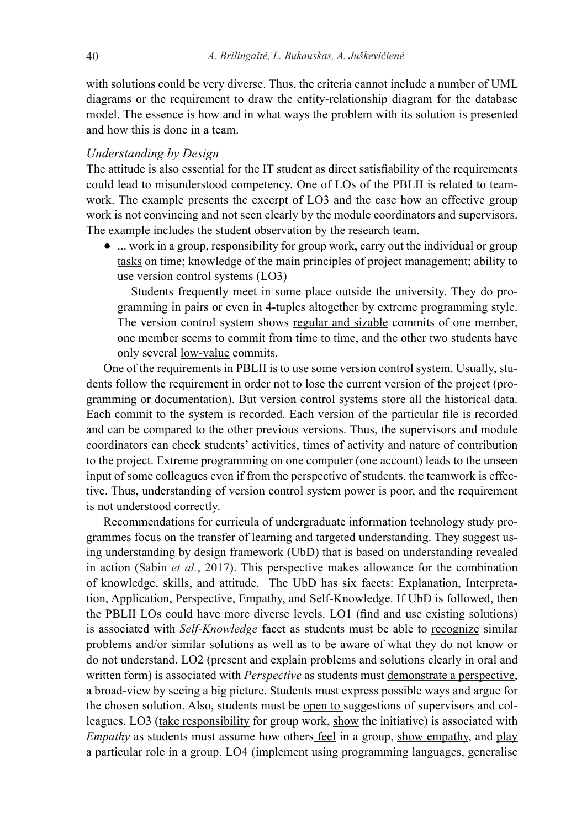with solutions could be very diverse. Thus, the criteria cannot include a number of UML diagrams or the requirement to draw the entity-relationship diagram for the database model. The essence is how and in what ways the problem with its solution is presented and how this is done in a team.

#### *Understanding by Design*

The attitude is also essential for the IT student as direct satisfiability of the requirements could lead to misunderstood competency. One of LOs of the PBLII is related to teamwork. The example presents the excerpt of LO3 and the case how an effective group work is not convincing and not seen clearly by the module coordinators and supervisors. The example includes the student observation by the research team.

● ... work in a group, responsibility for group work, carry out the individual or group tasks on time; knowledge of the main principles of project management; ability to use version control systems (LO3)

Students frequently meet in some place outside the university. They do programming in pairs or even in 4-tuples altogether by extreme programming style. The version control system shows regular and sizable commits of one member, one member seems to commit from time to time, and the other two students have only several low-value commits.

One of the requirements in PBLII is to use some version control system. Usually, students follow the requirement in order not to lose the current version of the project (programming or documentation). But version control systems store all the historical data. Each commit to the system is recorded. Each version of the particular file is recorded and can be compared to the other previous versions. Thus, the supervisors and module coordinators can check students' activities, times of activity and nature of contribution to the project. Extreme programming on one computer (one account) leads to the unseen input of some colleagues even if from the perspective of students, the teamwork is effective. Thus, understanding of version control system power is poor, and the requirement is not understood correctly.

Recommendations for curricula of undergraduate information technology study programmes focus on the transfer of learning and targeted understanding. They suggest using understanding by design framework (UbD) that is based on understanding revealed in action (Sabin *et al.*, 2017). This perspective makes allowance for the combination of knowledge, skills, and attitude. The UbD has six facets: Explanation, Interpretation, Application, Perspective, Empathy, and Self-Knowledge. If UbD is followed, then the PBLII LOs could have more diverse levels. LO1 (find and use existing solutions) is associated with *Self-Knowledge* facet as students must be able to recognize similar problems and/or similar solutions as well as to be aware of what they do not know or do not understand. LO2 (present and explain problems and solutions clearly in oral and written form) is associated with *Perspective* as students must demonstrate a perspective, a broad-view by seeing a big picture. Students must express possible ways and argue for the chosen solution. Also, students must be open to suggestions of supervisors and colleagues. LO3 (take responsibility for group work, show the initiative) is associated with *Empathy* as students must assume how others feel in a group, show empathy, and play a particular role in a group. LO4 (implement using programming languages, generalise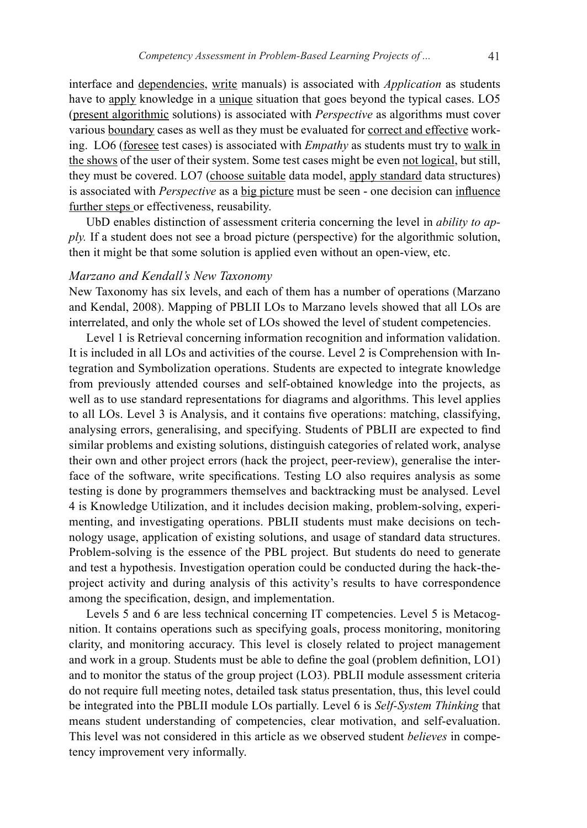interface and dependencies, write manuals) is associated with *Application* as students have to apply knowledge in a unique situation that goes beyond the typical cases. LO5 (present algorithmic solutions) is associated with *Perspective* as algorithms must cover various boundary cases as well as they must be evaluated for correct and effective working. LO6 (foresee test cases) is associated with *Empathy* as students must try to walk in the shows of the user of their system. Some test cases might be even not logical, but still, they must be covered. LO7 (choose suitable data model, apply standard data structures) is associated with *Perspective* as a big picture must be seen - one decision can influence further steps or effectiveness, reusability.

UbD enables distinction of assessment criteria concerning the level in *ability to apply.* If a student does not see a broad picture (perspective) for the algorithmic solution, then it might be that some solution is applied even without an open-view, etc.

#### *Marzano and Kendall's New Taxonomy*

New Taxonomy has six levels, and each of them has a number of operations (Marzano and Kendal, 2008). Mapping of PBLII LOs to Marzano levels showed that all LOs are interrelated, and only the whole set of LOs showed the level of student competencies.

Level 1 is Retrieval concerning information recognition and information validation. It is included in all LOs and activities of the course. Level 2 is Comprehension with Integration and Symbolization operations. Students are expected to integrate knowledge from previously attended courses and self-obtained knowledge into the projects, as well as to use standard representations for diagrams and algorithms. This level applies to all LOs. Level 3 is Analysis, and it contains five operations: matching, classifying, analysing errors, generalising, and specifying. Students of PBLII are expected to find similar problems and existing solutions, distinguish categories of related work, analyse their own and other project errors (hack the project, peer-review), generalise the interface of the software, write specifications. Testing LO also requires analysis as some testing is done by programmers themselves and backtracking must be analysed. Level 4 is Knowledge Utilization, and it includes decision making, problem-solving, experimenting, and investigating operations. PBLII students must make decisions on technology usage, application of existing solutions, and usage of standard data structures. Problem-solving is the essence of the PBL project. But students do need to generate and test a hypothesis. Investigation operation could be conducted during the hack-theproject activity and during analysis of this activity's results to have correspondence among the specification, design, and implementation.

Levels 5 and 6 are less technical concerning IT competencies. Level 5 is Metacognition. It contains operations such as specifying goals, process monitoring, monitoring clarity, and monitoring accuracy. This level is closely related to project management and work in a group. Students must be able to define the goal (problem definition, LO1) and to monitor the status of the group project (LO3). PBLII module assessment criteria do not require full meeting notes, detailed task status presentation, thus, this level could be integrated into the PBLII module LOs partially. Level 6 is *Self-System Thinking* that means student understanding of competencies, clear motivation, and self-evaluation. This level was not considered in this article as we observed student *believes* in competency improvement very informally.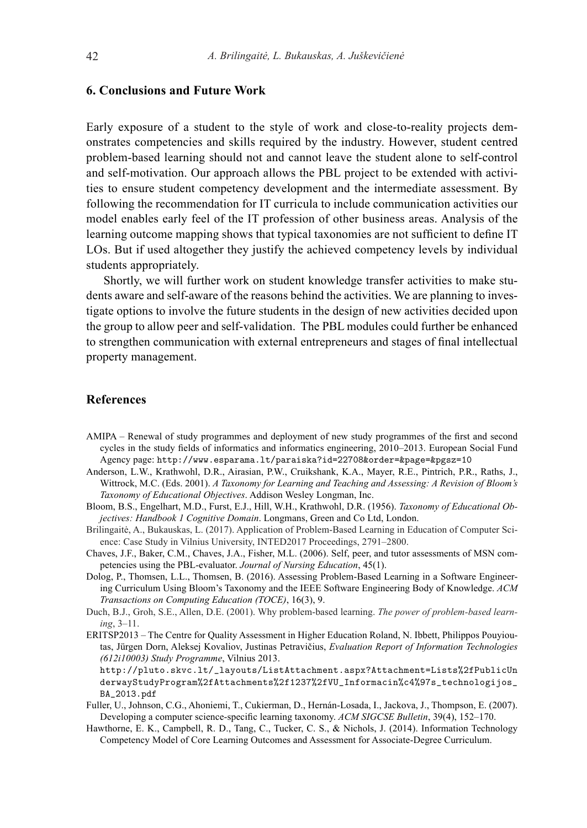### **6. Conclusions and Future Work**

Early exposure of a student to the style of work and close-to-reality projects demonstrates competencies and skills required by the industry. However, student centred problem-based learning should not and cannot leave the student alone to self-control and self-motivation. Our approach allows the PBL project to be extended with activities to ensure student competency development and the intermediate assessment. By following the recommendation for IT curricula to include communication activities our model enables early feel of the IT profession of other business areas. Analysis of the learning outcome mapping shows that typical taxonomies are not sufficient to define IT LOs. But if used altogether they justify the achieved competency levels by individual students appropriately.

Shortly, we will further work on student knowledge transfer activities to make students aware and self-aware of the reasons behind the activities. We are planning to investigate options to involve the future students in the design of new activities decided upon the group to allow peer and self-validation. The PBL modules could further be enhanced to strengthen communication with external entrepreneurs and stages of final intellectual property management.

## **References**

- AMIPA Renewal of study programmes and deployment of new study programmes of the first and second cycles in the study fields of informatics and informatics engineering, 2010–2013. European Social Fund Agency page: http://www.esparama.lt/paraiska?id=22708&order=&page=&pgsz=10
- Anderson, L.W., Krathwohl, D.R., Airasian, P.W., Cruikshank, K.A., Mayer, R.E., Pintrich, P.R., Raths, J., Wittrock, M.C. (Eds. 2001). *A Taxonomy for Learning and Teaching and Assessing: A Revision of Bloom's Taxonomy of Educational Objectives*. Addison Wesley Longman, Inc.
- Bloom, B.S., Engelhart, M.D., Furst, E.J., Hill, W.H., Krathwohl, D.R. (1956). *Taxonomy of Educational Objectives: Handbook 1 Cognitive Domain*. Longmans, Green and Co Ltd, London.
- Brilingaitė, A., Bukauskas, L. (2017). Application of Problem-Based Learning in Education of Computer Science: Case Study in Vilnius University, INTED2017 Proceedings, 2791–2800.
- Chaves, J.F., Baker, C.M., Chaves, J.A., Fisher, M.L. (2006). Self, peer, and tutor assessments of MSN competencies using the PBL-evaluator. *Journal of Nursing Education*, 45(1).
- Dolog, P., Thomsen, L.L., Thomsen, B. (2016). Assessing Problem-Based Learning in a Software Engineering Curriculum Using Bloom's Taxonomy and the IEEE Software Engineering Body of Knowledge. *ACM Transactions on Computing Education (TOCE)*, 16(3), 9.
- Duch, B.J., Groh, S.E., Allen, D.E. (2001). Why problem-based learning. *The power of problem-based learning*, 3–11.
- ERITSP2013 The Centre for Quality Assessment in Higher Education Roland, N. Ibbett, Philippos Pouyioutas, Jürgen Dorn, Aleksej Kovaliov, Justinas Petravičius, *Evaluation Report of Information Technologies (612i10003) Study Programme*, Vilnius 2013.
	- http://pluto.skvc.lt/\_layouts/ListAttachment.aspx?Attachment=Lists%2fPublicUn derwayStudyProgram%2fAttachments%2f1237%2fVU\_Informacin%c4%97s\_technologijos\_ BA\_2013.pdf
- Fuller, U., Johnson, C.G., Ahoniemi, T., Cukierman, D., Hernán-Losada, I., Jackova, J., Thompson, E. (2007). Developing a computer science-specific learning taxonomy. *ACM SIGCSE Bulletin*, 39(4), 152–170.
- Hawthorne, E. K., Campbell, R. D., Tang, C., Tucker, C. S., & Nichols, J. (2014). Information Technology Competency Model of Core Learning Outcomes and Assessment for Associate-Degree Curriculum.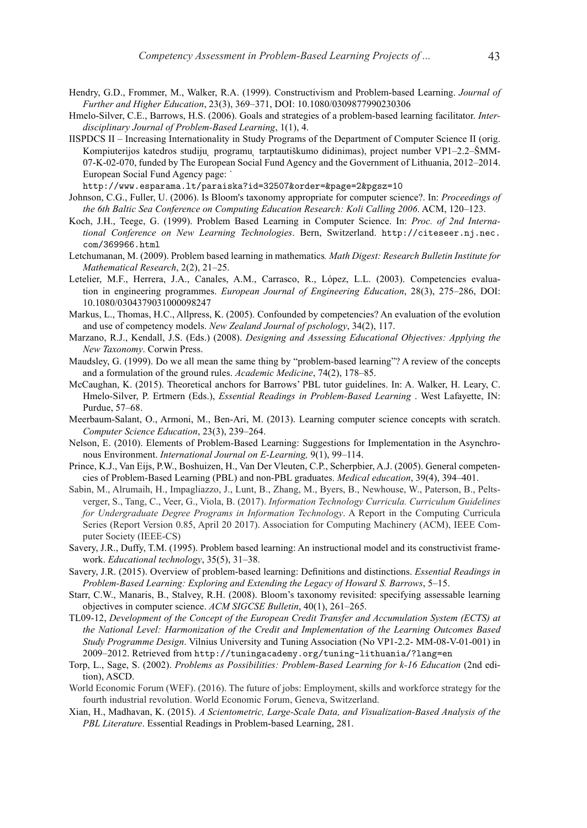- Hendry, G.D., Frommer, M., Walker, R.A. (1999). Constructivism and Problem-based Learning. *Journal of Further and Higher Education*, 23(3), 369–371, DOI: 10.1080/0309877990230306
- Hmelo-Silver, C.E., Barrows, H.S. (2006). Goals and strategies of a problem-based learning facilitator. *Interdisciplinary Journal of Problem-Based Learning*, 1(1), 4.
- IISPDCS II Increasing Internationality in Study Programs of the Department of Computer Science II (orig. Kompiuterijos katedros studiju, programu, tarptautiškumo didinimas), project number VP1–2.2–ŠMM-07-K-02-070, funded by The European Social Fund Agency and the Government of Lithuania, 2012–2014. European Social Fund Agency page: ˙

http://www.esparama.lt/paraiska?id=32507&order=&page=2&pgsz=10

- Johnson, C.G., Fuller, U. (2006). Is Bloom's taxonomy appropriate for computer science?. In: *Proceedings of the 6th Baltic Sea Conference on Computing Education Research: Koli Calling 2006*. ACM, 120–123.
- Koch, J.H., Teege, G. (1999). Problem Based Learning in Computer Science. In: *Proc. of 2nd International Conference on New Learning Technologies*. Bern, Switzerland. http://citeseer.nj.nec. com/369966.html
- Letchumanan, M. (2009). Problem based learning in mathematics*. Math Digest: Research Bulletin Institute for Mathematical Research*, 2(2), 21–25.
- Letelier, M.F., Herrera, J.A., Canales, A.M., Carrasco, R., López, L.L. (2003). Competencies evaluation in engineering programmes. *European Journal of Engineering Education*, 28(3), 275–286, DOI: 10.1080/0304379031000098247
- Markus, L., Thomas, H.C., Allpress, K. (2005). Confounded by competencies? An evaluation of the evolution and use of competency models. *New Zealand Journal of pschology*, 34(2), 117.
- Marzano, R.J., Kendall, J.S. (Eds.) (2008). *Designing and Assessing Educational Objectives: Applying the New Taxonomy*. Corwin Press.
- Maudsley, G. (1999). Do we all mean the same thing by "problem-based learning"? A review of the concepts and a formulation of the ground rules. *Academic Medicine*, 74(2), 178–85.
- McCaughan, K. (2015). Theoretical anchors for Barrows' PBL tutor guidelines. In: A. Walker, H. Leary, C. Hmelo-Silver, P. Ertmern (Eds.), *Essential Readings in Problem-Based Learning* . West Lafayette, IN: Purdue, 57–68.
- Meerbaum-Salant, O., Armoni, M., Ben-Ari, M. (2013). Learning computer science concepts with scratch. *Computer Science Education*, 23(3), 239–264.
- Nelson, E. (2010). Elements of Problem-Based Learning: Suggestions for Implementation in the Asynchronous Environment. *International Journal on E-Learning,* 9(1), 99–114.
- Prince, K.J., Van Eijs, P.W., Boshuizen, H., Van Der Vleuten, C.P., Scherpbier, A.J. (2005). General competencies of Problem-Based Learning (PBL) and non-PBL graduates. *Medical education*, 39(4), 394–401.
- Sabin, M., Alrumaih, H., Impagliazzo, J., Lunt, B., Zhang, M., Byers, B., Newhouse, W., Paterson, B., Peltsverger, S., Tang, C., Veer, G., Viola, B. (2017). *Information Technology Curricula. Curriculum Guidelines for Undergraduate Degree Programs in Information Technology*. A Report in the Computing Curricula Series (Report Version 0.85, April 20 2017). Association for Computing Machinery (ACM), IEEE Computer Society (IEEE-CS)
- Savery, J.R., Duffy, T.M. (1995). Problem based learning: An instructional model and its constructivist framework. *Educational technology*, 35(5), 31–38.
- Savery, J.R. (2015). Overview of problem-based learning: Definitions and distinctions. *Essential Readings in Problem-Based Learning: Exploring and Extending the Legacy of Howard S. Barrows*, 5–15.
- Starr, C.W., Manaris, B., Stalvey, R.H. (2008). Bloom's taxonomy revisited: specifying assessable learning objectives in computer science. *ACM SIGCSE Bulletin*, 40(1), 261–265.
- TL09-12, *Development of the Concept of the European Credit Transfer and Accumulation System (ECTS) at the National Level: Harmonization of the Credit and Implementation of the Learning Outcomes Based Study Programme Design*. Vilnius University and Tuning Association (No VP1-2.2- MM-08-V-01-001) in 2009–2012. Retrieved from http://tuningacademy.org/tuning-lithuania/?lang=en
- Torp, L., Sage, S. (2002). *Problems as Possibilities: Problem-Based Learning for k-16 Education* (2nd edition), ASCD.
- World Economic Forum (WEF). (2016). The future of jobs: Employment, skills and workforce strategy for the fourth industrial revolution. World Economic Forum, Geneva, Switzerland.
- Xian, H., Madhavan, K. (2015). *A Scientometric, Large-Scale Data, and Visualization-Based Analysis of the PBL Literature*. Essential Readings in Problem-based Learning, 281.